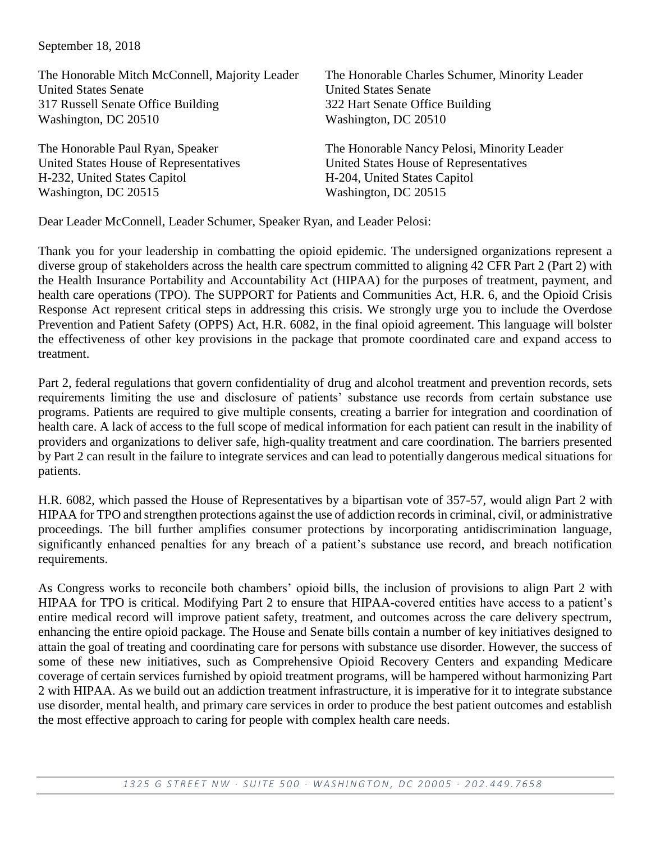September 18, 2018

| The Honorable Charles Schumer, Minority Leader |
|------------------------------------------------|
| <b>United States Senate</b>                    |
| 322 Hart Senate Office Building                |
| Washington, DC 20510                           |
|                                                |
| The Honorable Nancy Pelosi, Minority Leader    |
| United States House of Representatives         |
| H-204, United States Capitol                   |
| Washington, DC 20515                           |
|                                                |

Dear Leader McConnell, Leader Schumer, Speaker Ryan, and Leader Pelosi:

Thank you for your leadership in combatting the opioid epidemic. The undersigned organizations represent a diverse group of stakeholders across the health care spectrum committed to aligning 42 CFR Part 2 (Part 2) with the Health Insurance Portability and Accountability Act (HIPAA) for the purposes of treatment, payment, and health care operations (TPO). The SUPPORT for Patients and Communities Act, H.R. 6, and the Opioid Crisis Response Act represent critical steps in addressing this crisis. We strongly urge you to include the Overdose Prevention and Patient Safety (OPPS) Act, H.R. 6082, in the final opioid agreement. This language will bolster the effectiveness of other key provisions in the package that promote coordinated care and expand access to treatment.

Part 2, federal regulations that govern confidentiality of drug and alcohol treatment and prevention records, sets requirements limiting the use and disclosure of patients' substance use records from certain substance use programs. Patients are required to give multiple consents, creating a barrier for integration and coordination of health care. A lack of access to the full scope of medical information for each patient can result in the inability of providers and organizations to deliver safe, high-quality treatment and care coordination. The barriers presented by Part 2 can result in the failure to integrate services and can lead to potentially dangerous medical situations for patients.

H.R. 6082, which passed the House of Representatives by a bipartisan vote of 357-57, would align Part 2 with HIPAA for TPO and strengthen protections against the use of addiction records in criminal, civil, or administrative proceedings. The bill further amplifies consumer protections by incorporating antidiscrimination language, significantly enhanced penalties for any breach of a patient's substance use record, and breach notification requirements.

As Congress works to reconcile both chambers' opioid bills, the inclusion of provisions to align Part 2 with HIPAA for TPO is critical. Modifying Part 2 to ensure that HIPAA-covered entities have access to a patient's entire medical record will improve patient safety, treatment, and outcomes across the care delivery spectrum, enhancing the entire opioid package. The House and Senate bills contain a number of key initiatives designed to attain the goal of treating and coordinating care for persons with substance use disorder. However, the success of some of these new initiatives, such as Comprehensive Opioid Recovery Centers and expanding Medicare coverage of certain services furnished by opioid treatment programs, will be hampered without harmonizing Part 2 with HIPAA. As we build out an addiction treatment infrastructure, it is imperative for it to integrate substance use disorder, mental health, and primary care services in order to produce the best patient outcomes and establish the most effective approach to caring for people with complex health care needs.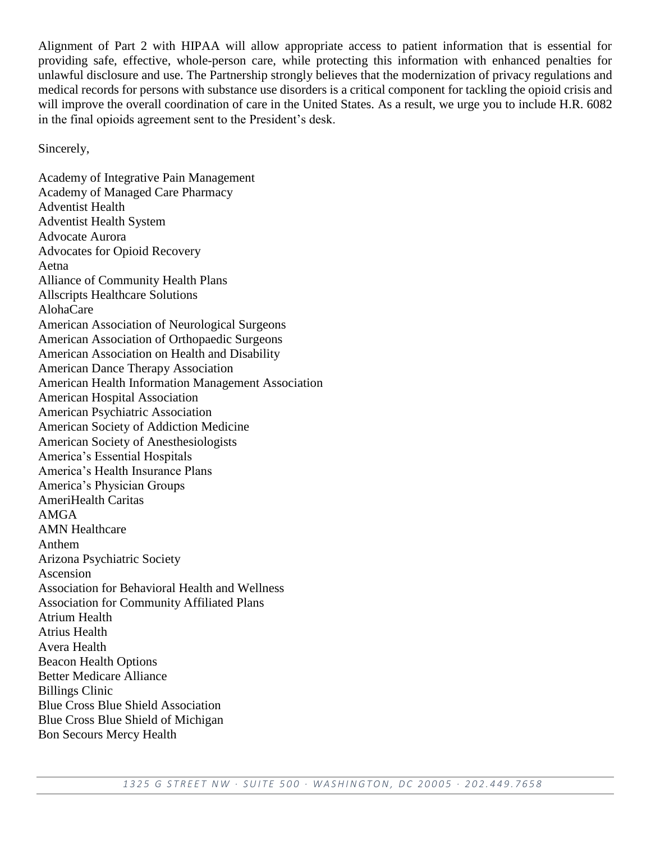Alignment of Part 2 with HIPAA will allow appropriate access to patient information that is essential for providing safe, effective, whole-person care, while protecting this information with enhanced penalties for unlawful disclosure and use. The Partnership strongly believes that the modernization of privacy regulations and medical records for persons with substance use disorders is a critical component for tackling the opioid crisis and will improve the overall coordination of care in the United States. As a result, we urge you to include H.R. 6082 in the final opioids agreement sent to the President's desk.

Sincerely,

Academy of Integrative Pain Management Academy of Managed Care Pharmacy Adventist Health Adventist Health System Advocate Aurora Advocates for Opioid Recovery Aetna Alliance of Community Health Plans Allscripts Healthcare Solutions AlohaCare American Association of Neurological Surgeons American Association of Orthopaedic Surgeons American Association on Health and Disability American Dance Therapy Association American Health Information Management Association American Hospital Association American Psychiatric Association American Society of Addiction Medicine American Society of Anesthesiologists America's Essential Hospitals America's Health Insurance Plans America's Physician Groups AmeriHealth Caritas AMGA AMN Healthcare Anthem Arizona Psychiatric Society Ascension Association for Behavioral Health and Wellness Association for Community Affiliated Plans Atrium Health Atrius Health Avera Health Beacon Health Options Better Medicare Alliance Billings Clinic Blue Cross Blue Shield Association Blue Cross Blue Shield of Michigan Bon Secours Mercy Health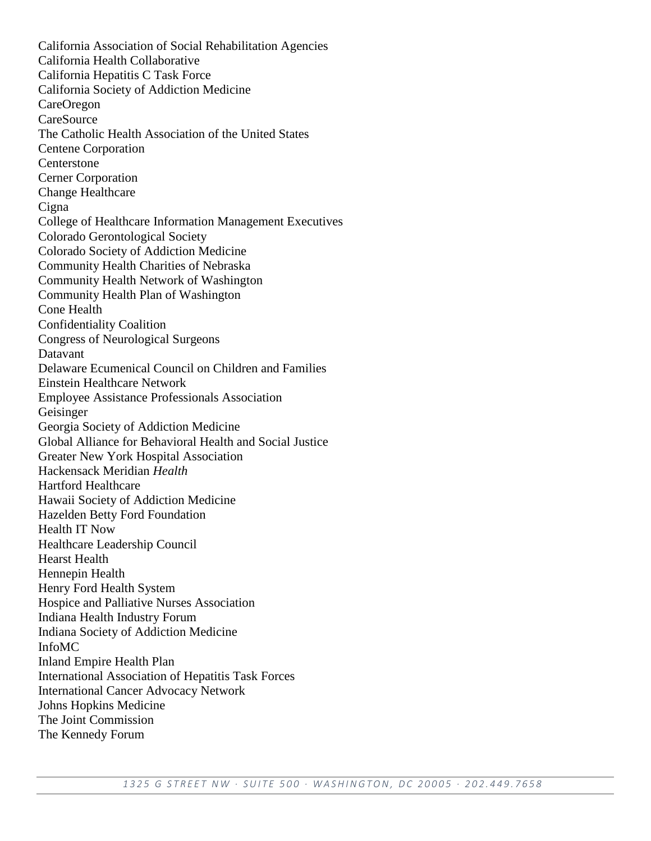California Association of Social Rehabilitation Agencies California Health Collaborative California Hepatitis C Task Force California Society of Addiction Medicine CareOregon **CareSource** The Catholic Health Association of the United States Centene Corporation Centerstone Cerner Corporation Change Healthcare **Cigna** College of Healthcare Information Management Executives Colorado Gerontological Society Colorado Society of Addiction Medicine Community Health Charities of Nebraska Community Health Network of Washington Community Health Plan of Washington Cone Health Confidentiality Coalition Congress of Neurological Surgeons Datavant Delaware Ecumenical Council on Children and Families Einstein Healthcare Network Employee Assistance Professionals Association Geisinger Georgia Society of Addiction Medicine Global Alliance for Behavioral Health and Social Justice Greater New York Hospital Association Hackensack Meridian *Health* Hartford Healthcare Hawaii Society of Addiction Medicine Hazelden Betty Ford Foundation Health IT Now Healthcare Leadership Council Hearst Health Hennepin Health Henry Ford Health System Hospice and Palliative Nurses Association Indiana Health Industry Forum Indiana Society of Addiction Medicine InfoMC Inland Empire Health Plan International Association of Hepatitis Task Forces International Cancer Advocacy Network Johns Hopkins Medicine The Joint Commission The Kennedy Forum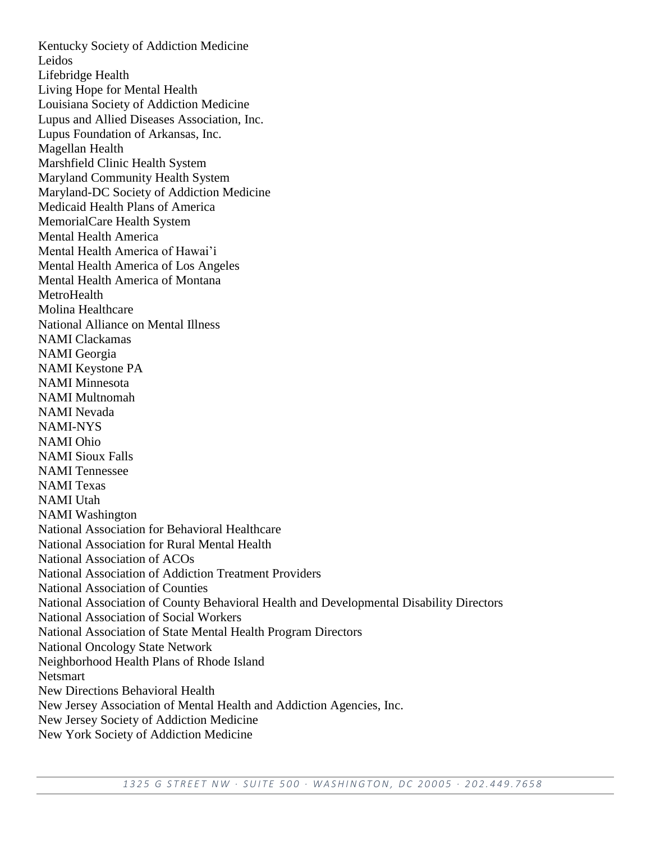Kentucky Society of Addiction Medicine Leidos Lifebridge Health Living Hope for Mental Health Louisiana Society of Addiction Medicine Lupus and Allied Diseases Association, Inc. Lupus Foundation of Arkansas, Inc. Magellan Health Marshfield Clinic Health System Maryland Community Health System Maryland-DC Society of Addiction Medicine Medicaid Health Plans of America MemorialCare Health System Mental Health America Mental Health America of Hawai'i Mental Health America of Los Angeles Mental Health America of Montana **MetroHealth** Molina Healthcare National Alliance on Mental Illness NAMI Clackamas NAMI Georgia NAMI Keystone PA NAMI Minnesota NAMI Multnomah NAMI Nevada NAMI-NYS NAMI Ohio NAMI Sioux Falls NAMI Tennessee NAMI Texas NAMI Utah NAMI Washington National Association for Behavioral Healthcare National Association for Rural Mental Health National Association of ACOs National Association of Addiction Treatment Providers National Association of Counties National Association of County Behavioral Health and Developmental Disability Directors National Association of Social Workers National Association of State Mental Health Program Directors National Oncology State Network Neighborhood Health Plans of Rhode Island Netsmart New Directions Behavioral Health New Jersey Association of Mental Health and Addiction Agencies, Inc. New Jersey Society of Addiction Medicine New York Society of Addiction Medicine